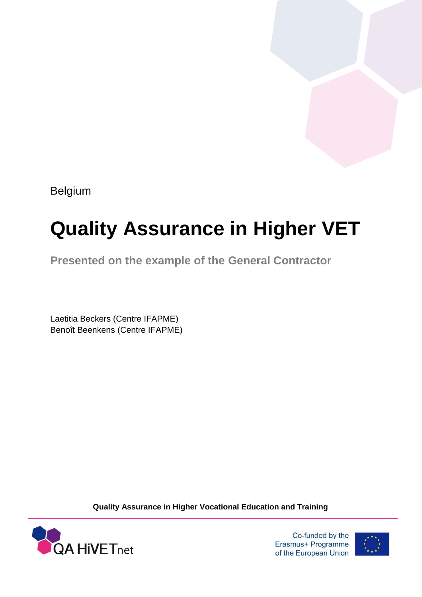Belgium

# **Quality Assurance in Higher VET**

**Presented on the example of the General Contractor**

Laetitia Beckers (Centre IFAPME) Benoît Beenkens (Centre IFAPME)

**Quality Assurance in Higher Vocational Education and Training**



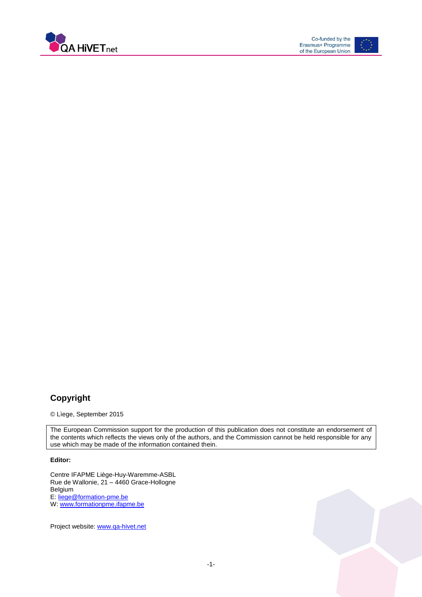



#### **Copyright**

© Lìege, September 2015

The European Commission support for the production of this publication does not constitute an endorsement of the contents which reflects the views only of the authors, and the Commission cannot be held responsible for any use which may be made of the information contained thein.

#### **Editor:**

Centre IFAPME Liège-Huy-Waremme-ASBL Rue de Wallonie, 21 – 4460 Grace-Hollogne Belgium E: [liege@formation-pme.be](mailto:liege@formation-pme.be) W[: www.formationpme.ifapme.be](file:///C:/Users/beckers/AppData/Local/Microsoft/Windows/Temporary%20Internet%20Files/Content.Outlook/LU1S210L/www.formationpme.ifapme.be)

Project website: [www.qa-hivet.net](http://www.qa-hivet.net/)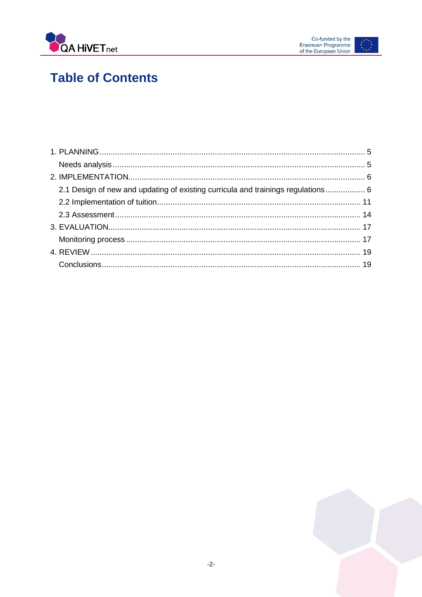



## **Table of Contents**

| 2.1 Design of new and updating of existing curricula and trainings regulations 6 |  |
|----------------------------------------------------------------------------------|--|
|                                                                                  |  |
|                                                                                  |  |
|                                                                                  |  |
|                                                                                  |  |
|                                                                                  |  |
|                                                                                  |  |
|                                                                                  |  |

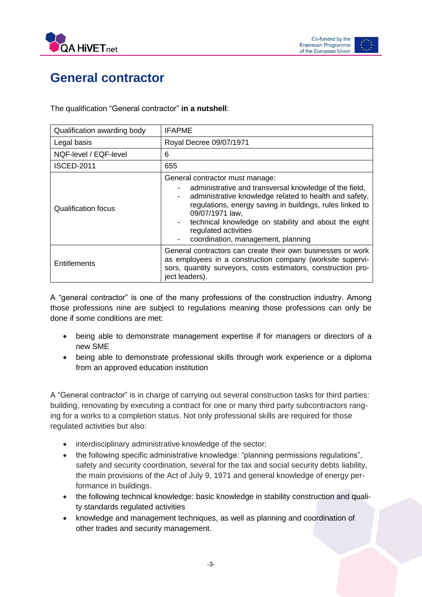



### **General contractor**

The qualification "General contractor" **in a nutshell**:

| Qualification awarding body | <b>IFAPME</b>                                                                                                                                                                                                                                                                                                                                                                            |
|-----------------------------|------------------------------------------------------------------------------------------------------------------------------------------------------------------------------------------------------------------------------------------------------------------------------------------------------------------------------------------------------------------------------------------|
| Legal basis                 | Royal Decree 09/07/1971                                                                                                                                                                                                                                                                                                                                                                  |
| NQF-level / EQF-level       | 6                                                                                                                                                                                                                                                                                                                                                                                        |
| <b>ISCED-2011</b>           | 655                                                                                                                                                                                                                                                                                                                                                                                      |
| Qualification focus         | General contractor must manage:<br>administrative and transversal knowledge of the field,<br>administrative knowledge related to health and safety,<br>$\qquad \qquad \blacksquare$<br>regulations, energy saving in buildings, rules linked to<br>09/07/1971 law,<br>technical knowledge on stability and about the eight<br>regulated activities<br>coordination, management, planning |
| <b>Entitlements</b>         | General contractors can create their own businesses or work<br>as employees in a construction company (worksite supervi-<br>sors, quantity surveyors, costs estimators, construction pro-<br>ject leaders).                                                                                                                                                                              |

A "general contractor" is one of the many professions of the construction industry. Among those professions nine are subject to regulations meaning those professions can only be done if some conditions are met:

- being able to demonstrate management expertise if for managers or directors of a new SME
- being able to demonstrate professional skills through work experience or a diploma from an approved education institution

A "General contractor" is in charge of carrying out several construction tasks for third parties: building, renovating by executing a contract for one or many third party subcontractors ranging for a works to a completion status. Not only professional skills are required for those regulated activities but also:

- interdisciplinary administrative knowledge of the sector;
- the following specific administrative knowledge: "planning permissions regulations", safety and security coordination, several for the tax and social security debts liability, the main provisions of the Act of July 9, 1971 and general knowledge of energy performance in buildings.
- the following technical knowledge: basic knowledge in stability construction and quality standards regulated activities
- knowledge and management techniques, as well as planning and coordination of other trades and security management.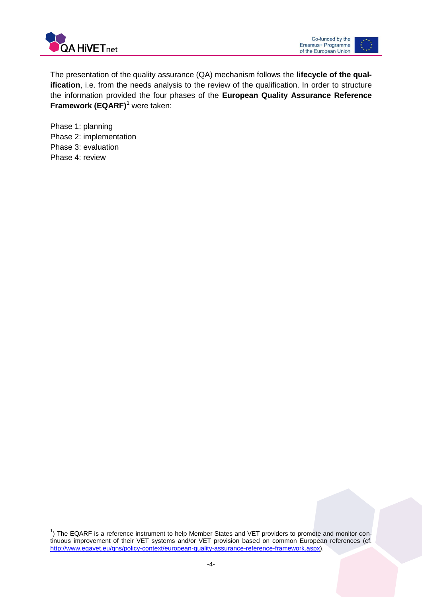

The presentation of the quality assurance (QA) mechanism follows the **lifecycle of the qualification**, i.e. from the needs analysis to the review of the qualification. In order to structure the information provided the four phases of the **European Quality Assurance Reference Framework (EQARF)<sup>1</sup>** were taken:

<span id="page-4-0"></span>Phase 1: planning Phase 2: implementation Phase 3: evaluation Phase 4: review

 $\overline{a}$ 

<sup>&</sup>lt;sup>1</sup>) The EQARF is a reference instrument to help Member States and VET providers to promote and monitor continuous improvement of their VET systems and/or VET provision based on common European references (cf. [http://www.eqavet.eu/gns/policy-context/european-quality-assurance-reference-framework.aspx\)](http://www.eqavet.eu/gns/policy-context/european-quality-assurance-reference-framework.aspx).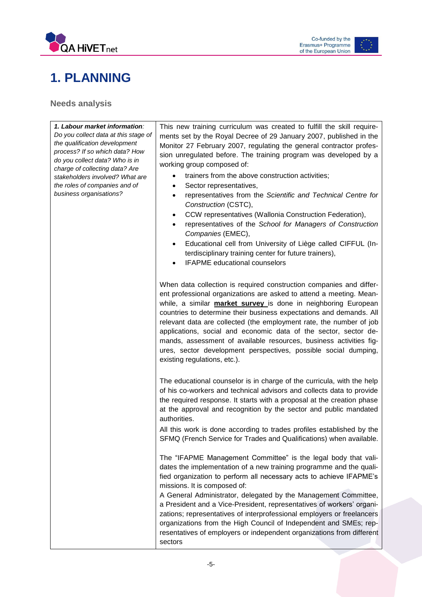



### **1. PLANNING**

<span id="page-5-0"></span>**Needs analysis**

*1. Labour market information: Do you collect data at this stage of the qualification development process? If so which data? How do you collect data? Who is in charge of collecting data? Are stakeholders involved? What are the roles of companies and of business organisations?* working group composed of: *Construction* (CSTC), *Companies* (EMEC),

This new training curriculum was created to fulfill the skill requirements set by the Royal Decree of 29 January 2007, published in the Monitor 27 February 2007, regulating the general contractor profession unregulated before. The training program was developed by a

- trainers from the above construction activities;
- Sector representatives,
- representatives from the *Scientific and Technical Centre for*
- CCW representatives (Wallonia Construction Federation),
- representatives of the *School for Managers of Construction*
- Educational cell from University of Liège called CIFFUL (Interdisciplinary training center for future trainers),
- IFAPME educational counselors

When data collection is required construction companies and different professional organizations are asked to attend a meeting. Meanwhile, a similar **market survey** is done in neighboring European countries to determine their business expectations and demands. All relevant data are collected (the employment rate, the number of job applications, social and economic data of the sector, sector demands, assessment of available resources, business activities figures, sector development perspectives, possible social dumping, existing regulations, etc.).

The educational counselor is in charge of the curricula, with the help of his co-workers and technical advisors and collects data to provide the required response. It starts with a proposal at the creation phase at the approval and recognition by the sector and public mandated authorities.

All this work is done according to trades profiles established by the SFMQ (French Service for Trades and Qualifications) when available.

The "IFAPME Management Committee" is the legal body that validates the implementation of a new training programme and the qualified organization to perform all necessary acts to achieve IFAPME's missions. It is composed of:

A General Administrator, delegated by the Management Committee, a President and a Vice-President, representatives of workers' organizations; representatives of interprofessional employers or freelancers organizations from the High Council of Independent and SMEs; representatives of employers or independent organizations from different sectors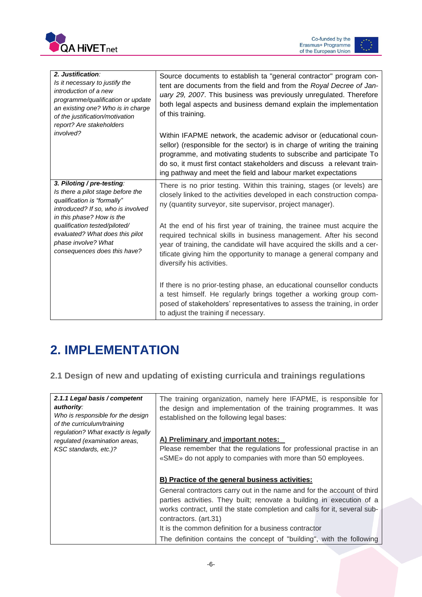



| 2. Justification:<br>Is it necessary to justify the<br>introduction of a new<br>programme/gualification or update<br>an existing one? Who is in charge<br>of the justification/motivation<br>report? Are stakeholders | Source documents to establish ta "general contractor" program con-<br>tent are documents from the field and from the Royal Decree of Jan-<br>uary 29, 2007. This business was previously unregulated. Therefore<br>both legal aspects and business demand explain the implementation<br>of this training.                                                        |
|-----------------------------------------------------------------------------------------------------------------------------------------------------------------------------------------------------------------------|------------------------------------------------------------------------------------------------------------------------------------------------------------------------------------------------------------------------------------------------------------------------------------------------------------------------------------------------------------------|
| involved?                                                                                                                                                                                                             | Within IFAPME network, the academic advisor or (educational coun-<br>sellor) (responsible for the sector) is in charge of writing the training<br>programme, and motivating students to subscribe and participate To<br>do so, it must first contact stakeholders and discuss a relevant train-<br>ing pathway and meet the field and labour market expectations |
| 3. Piloting / pre-testing:<br>Is there a pilot stage before the<br>qualification is "formally"<br>introduced? If so, who is involved<br>in this phase? How is the                                                     | There is no prior testing. Within this training, stages (or levels) are<br>closely linked to the activities developed in each construction compa-<br>ny (quantity surveyor, site supervisor, project manager).                                                                                                                                                   |
| qualification tested/piloted/<br>evaluated? What does this pilot<br>phase involve? What<br>consequences does this have?                                                                                               | At the end of his first year of training, the trainee must acquire the<br>required technical skills in business management. After his second<br>year of training, the candidate will have acquired the skills and a cer-<br>tificate giving him the opportunity to manage a general company and<br>diversify his activities.                                     |
|                                                                                                                                                                                                                       | If there is no prior-testing phase, an educational counsellor conducts<br>a test himself. He regularly brings together a working group com-<br>posed of stakeholders' representatives to assess the training, in order<br>to adjust the training if necessary.                                                                                                   |

## <span id="page-6-0"></span>**2. IMPLEMENTATION**

<span id="page-6-1"></span>**2.1 Design of new and updating of existing curricula and trainings regulations**

| 2.1.1 Legal basis / competent<br>authority:<br>Who is responsible for the design<br>of the curriculum/training | The training organization, namely here IFAPME, is responsible for<br>the design and implementation of the training programmes. It was<br>established on the following legal bases: |
|----------------------------------------------------------------------------------------------------------------|------------------------------------------------------------------------------------------------------------------------------------------------------------------------------------|
| regulation? What exactly is legally<br>regulated (examination areas,                                           | A) Preliminary and important notes:                                                                                                                                                |
| KSC standards, etc.)?                                                                                          | Please remember that the regulations for professional practise in an                                                                                                               |
|                                                                                                                | «SME» do not apply to companies with more than 50 employees.                                                                                                                       |
|                                                                                                                | B) Practice of the general business activities:                                                                                                                                    |
|                                                                                                                | General contractors carry out in the name and for the account of third                                                                                                             |
|                                                                                                                | parties activities. They built; renovate a building in execution of a                                                                                                              |
|                                                                                                                | works contract, until the state completion and calls for it, several sub-<br>contractors. (art.31)                                                                                 |
|                                                                                                                | It is the common definition for a business contractor                                                                                                                              |
|                                                                                                                | The definition contains the concept of "building", with the following                                                                                                              |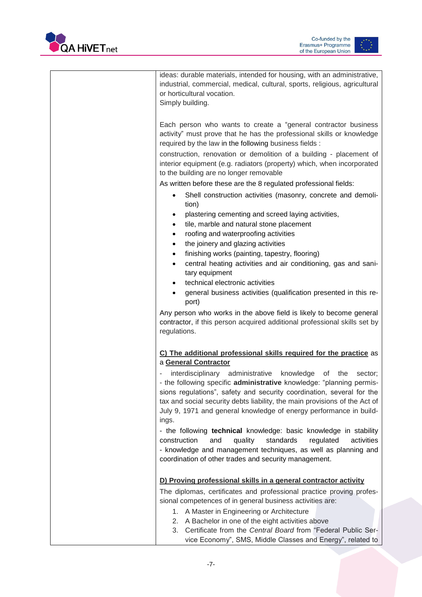



| ideas: durable materials, intended for housing, with an administrative,<br>industrial, commercial, medical, cultural, sports, religious, agricultural<br>or horticultural vocation.<br>Simply building.                                                                                                                                                                             |
|-------------------------------------------------------------------------------------------------------------------------------------------------------------------------------------------------------------------------------------------------------------------------------------------------------------------------------------------------------------------------------------|
| Each person who wants to create a "general contractor business<br>activity" must prove that he has the professional skills or knowledge<br>required by the law in the following business fields :                                                                                                                                                                                   |
| construction, renovation or demolition of a building - placement of<br>interior equipment (e.g. radiators (property) which, when incorporated<br>to the building are no longer removable                                                                                                                                                                                            |
| As written before these are the 8 regulated professional fields:                                                                                                                                                                                                                                                                                                                    |
| Shell construction activities (masonry, concrete and demoli-<br>tion)                                                                                                                                                                                                                                                                                                               |
| plastering cementing and screed laying activities,<br>٠<br>tile, marble and natural stone placement<br>٠                                                                                                                                                                                                                                                                            |
| roofing and waterproofing activities<br>٠                                                                                                                                                                                                                                                                                                                                           |
| the joinery and glazing activities<br>٠                                                                                                                                                                                                                                                                                                                                             |
| finishing works (painting, tapestry, flooring)<br>٠                                                                                                                                                                                                                                                                                                                                 |
| central heating activities and air conditioning, gas and sani-<br>٠<br>tary equipment                                                                                                                                                                                                                                                                                               |
| technical electronic activities                                                                                                                                                                                                                                                                                                                                                     |
| general business activities (qualification presented in this re-<br>port)                                                                                                                                                                                                                                                                                                           |
| Any person who works in the above field is likely to become general<br>contractor, if this person acquired additional professional skills set by<br>regulations.                                                                                                                                                                                                                    |
| C) The additional professional skills required for the practice as<br>a General Contractor                                                                                                                                                                                                                                                                                          |
| interdisciplinary administrative<br>knowledge<br>of<br>the<br>sector;<br>- the following specific administrative knowledge: "planning permis-<br>sions regulations", safety and security coordination, several for the<br>tax and social security debts liability, the main provisions of the Act of<br>July 9, 1971 and general knowledge of energy performance in build-<br>ings. |
| - the following technical knowledge: basic knowledge in stability                                                                                                                                                                                                                                                                                                                   |
| and<br>standards<br>construction<br>quality<br>regulated<br>activities<br>- knowledge and management techniques, as well as planning and<br>coordination of other trades and security management.                                                                                                                                                                                   |
| D) Proving professional skills in a general contractor activity                                                                                                                                                                                                                                                                                                                     |
| The diplomas, certificates and professional practice proving profes-                                                                                                                                                                                                                                                                                                                |
| sional competences of in general business activities are:                                                                                                                                                                                                                                                                                                                           |
| 1. A Master in Engineering or Architecture<br>2. A Bachelor in one of the eight activities above<br>Certificate from the Central Board from "Federal Public Ser-<br>3.                                                                                                                                                                                                              |
| vice Economy", SMS, Middle Classes and Energy", related to                                                                                                                                                                                                                                                                                                                          |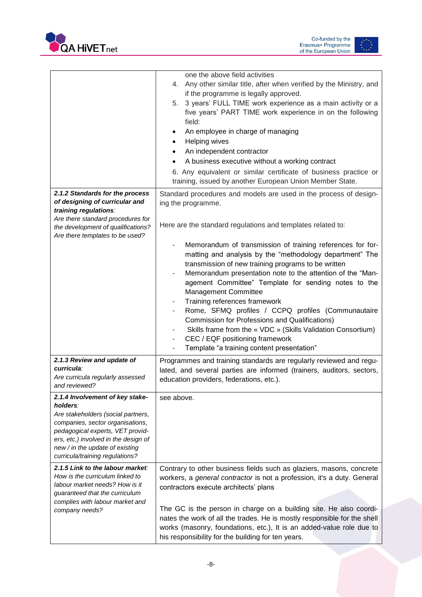



|                                                                                                                                                                                                                                                                         | one the above field activities<br>Any other similar title, after when verified by the Ministry, and<br>4.<br>if the programme is legally approved.<br>3 years' FULL TIME work experience as a main activity or a<br>5.<br>five years' PART TIME work experience in on the following<br>field:<br>An employee in charge of managing<br>Helping wives<br>An independent contractor<br>A business executive without a working contract<br>6. Any equivalent or similar certificate of business practice or<br>training, issued by another European Union Member State.                                                                                                  |
|-------------------------------------------------------------------------------------------------------------------------------------------------------------------------------------------------------------------------------------------------------------------------|----------------------------------------------------------------------------------------------------------------------------------------------------------------------------------------------------------------------------------------------------------------------------------------------------------------------------------------------------------------------------------------------------------------------------------------------------------------------------------------------------------------------------------------------------------------------------------------------------------------------------------------------------------------------|
| 2.1.2 Standards for the process<br>of designing of curricular and<br>training regulations:<br>Are there standard procedures for<br>the development of qualifications?<br>Are there templates to be used?                                                                | Standard procedures and models are used in the process of design-<br>ing the programme.<br>Here are the standard regulations and templates related to:                                                                                                                                                                                                                                                                                                                                                                                                                                                                                                               |
|                                                                                                                                                                                                                                                                         | Memorandum of transmission of training references for for-<br>matting and analysis by the "methodology department" The<br>transmission of new training programs to be written<br>Memorandum presentation note to the attention of the "Man-<br>agement Committee" Template for sending notes to the<br><b>Management Committee</b><br>Training references framework<br>۰<br>Rome, SFMQ profiles / CCPQ profiles (Communautaire<br><b>Commission for Professions and Qualifications)</b><br>Skills frame from the « VDC » (Skills Validation Consortium)<br>CEC / EQF positioning framework<br>$\overline{\phantom{a}}$<br>Template "a training content presentation" |
| 2.1.3 Review and update of<br>curricula:<br>Are curricula regularly assessed<br>and reviewed?                                                                                                                                                                           | Programmes and training standards are regularly reviewed and regu-<br>lated, and several parties are informed (trainers, auditors, sectors,<br>education providers, federations, etc.).                                                                                                                                                                                                                                                                                                                                                                                                                                                                              |
| 2.1.4 Involvement of key stake-<br>holders:<br>Are stakeholders (social partners,<br>companies, sector organisations,<br>pedagogical experts, VET provid-<br>ers, etc.) involved in the design of<br>new / in the update of existing<br>curricula/training regulations? | see above.                                                                                                                                                                                                                                                                                                                                                                                                                                                                                                                                                                                                                                                           |
| 2.1.5 Link to the labour market:<br>How is the curriculum linked to<br>labour market needs? How is it<br>guaranteed that the curriculum<br>complies with labour market and<br>company needs?                                                                            | Contrary to other business fields such as glaziers, masons, concrete<br>workers, a general contractor is not a profession, it's a duty. General<br>contractors execute architects' plans<br>The GC is the person in charge on a building site. He also coordi-<br>nates the work of all the trades. He is mostly responsible for the shell<br>works (masonry, foundations, etc.), It is an added-value role due to<br>his responsibility for the building for ten years.                                                                                                                                                                                             |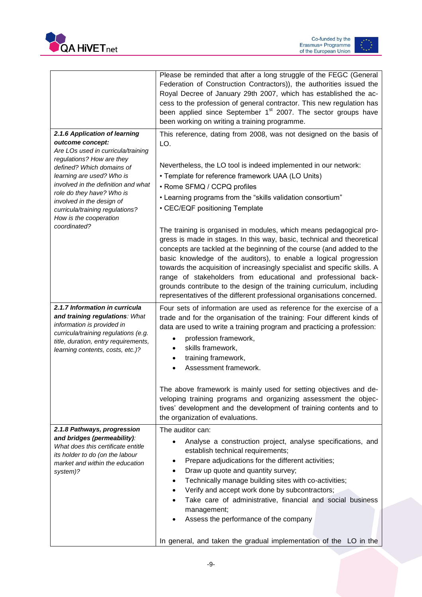



|                                                                                                                                                                                                                                                                                                             | Please be reminded that after a long struggle of the FEGC (General<br>Federation of Construction Contractors)), the authorities issued the<br>Royal Decree of January 29th 2007, which has established the ac-<br>cess to the profession of general contractor. This new regulation has<br>been applied since September 1 <sup>st</sup> 2007. The sector groups have<br>been working on writing a training programme.                                                                                                                                                                        |
|-------------------------------------------------------------------------------------------------------------------------------------------------------------------------------------------------------------------------------------------------------------------------------------------------------------|----------------------------------------------------------------------------------------------------------------------------------------------------------------------------------------------------------------------------------------------------------------------------------------------------------------------------------------------------------------------------------------------------------------------------------------------------------------------------------------------------------------------------------------------------------------------------------------------|
| 2.1.6 Application of learning                                                                                                                                                                                                                                                                               | This reference, dating from 2008, was not designed on the basis of                                                                                                                                                                                                                                                                                                                                                                                                                                                                                                                           |
| outcome concept:<br>Are LOs used in curricula/training<br>regulations? How are they<br>defined? Which domains of<br>learning are used? Who is<br>involved in the definition and what<br>role do they have? Who is<br>involved in the design of<br>curricula/training regulations?<br>How is the cooperation | LO.<br>Nevertheless, the LO tool is indeed implemented in our network:<br>• Template for reference framework UAA (LO Units)<br>• Rome SFMQ / CCPQ profiles<br>• Learning programs from the "skills validation consortium"<br>• CEC/EQF positioning Template                                                                                                                                                                                                                                                                                                                                  |
| coordinated?                                                                                                                                                                                                                                                                                                | The training is organised in modules, which means pedagogical pro-<br>gress is made in stages. In this way, basic, technical and theoretical<br>concepts are tackled at the beginning of the course (and added to the<br>basic knowledge of the auditors), to enable a logical progression<br>towards the acquisition of increasingly specialist and specific skills. A<br>range of stakeholders from educational and professional back-<br>grounds contribute to the design of the training curriculum, including<br>representatives of the different professional organisations concerned. |
| 2.1.7 Information in curricula<br>and training regulations: What<br>information is provided in<br>curricula/training regulations (e.g.<br>title, duration, entry requirements,<br>learning contents, costs, etc.)?                                                                                          | Four sets of information are used as reference for the exercise of a<br>trade and for the organisation of the training: Four different kinds of<br>data are used to write a training program and practicing a profession:<br>profession framework,<br>skills framework,<br>training framework,<br>Assessment framework.                                                                                                                                                                                                                                                                      |
|                                                                                                                                                                                                                                                                                                             | The above framework is mainly used for setting objectives and de-<br>veloping training programs and organizing assessment the objec-<br>tives' development and the development of training contents and to<br>the organization of evaluations.                                                                                                                                                                                                                                                                                                                                               |
| 2.1.8 Pathways, progression<br>and bridges (permeability):<br>What does this certificate entitle<br>its holder to do (on the labour<br>market and within the education<br>system)?                                                                                                                          | The auditor can:<br>Analyse a construction project, analyse specifications, and<br>establish technical requirements;<br>Prepare adjudications for the different activities;<br>Draw up quote and quantity survey;<br>Technically manage building sites with co-activities;<br>Verify and accept work done by subcontractors;<br>Take care of administrative, financial and social business<br>management;<br>Assess the performance of the company<br>In general, and taken the gradual implementation of the LO in the                                                                      |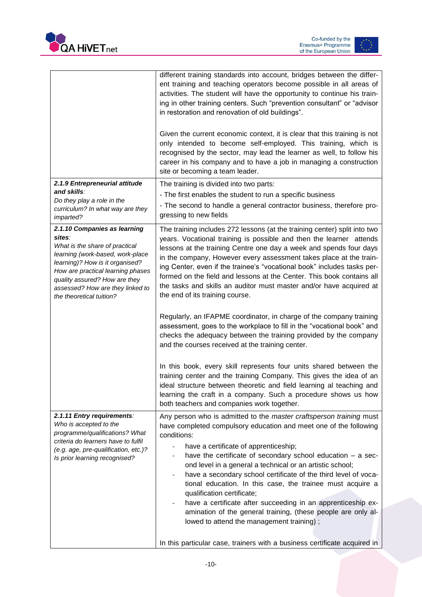



|                                                                                                                                                                                                                                                                                       | different training standards into account, bridges between the differ-<br>ent training and teaching operators become possible in all areas of<br>activities. The student will have the opportunity to continue his train-<br>ing in other training centers. Such "prevention consultant" or "advisor<br>in restoration and renovation of old buildings".<br>Given the current economic context, it is clear that this training is not<br>only intended to become self-employed. This training, which is<br>recognised by the sector, may lead the learner as well, to follow his<br>career in his company and to have a job in managing a construction<br>site or becoming a team leader.                                                                                          |
|---------------------------------------------------------------------------------------------------------------------------------------------------------------------------------------------------------------------------------------------------------------------------------------|------------------------------------------------------------------------------------------------------------------------------------------------------------------------------------------------------------------------------------------------------------------------------------------------------------------------------------------------------------------------------------------------------------------------------------------------------------------------------------------------------------------------------------------------------------------------------------------------------------------------------------------------------------------------------------------------------------------------------------------------------------------------------------|
| 2.1.9 Entrepreneurial attitude<br>and skills∶<br>Do they play a role in the<br>curriculum? In what way are they<br>imparted?                                                                                                                                                          | The training is divided into two parts:<br>- The first enables the student to run a specific business<br>- The second to handle a general contractor business, therefore pro-<br>gressing to new fields                                                                                                                                                                                                                                                                                                                                                                                                                                                                                                                                                                            |
| 2.1.10 Companies as learning<br>sites:<br>What is the share of practical<br>learning (work-based, work-place<br>learning)? How is it organised?<br>How are practical learning phases<br>quality assured? How are they<br>assessed? How are they linked to<br>the theoretical tuition? | The training includes 272 lessons (at the training center) split into two<br>years. Vocational training is possible and then the learner attends<br>lessons at the training Centre one day a week and spends four days<br>in the company, However every assessment takes place at the train-<br>ing Center, even if the trainee's "vocational book" includes tasks per-<br>formed on the field and lessons at the Center. This book contains all<br>the tasks and skills an auditor must master and/or have acquired at<br>the end of its training course.                                                                                                                                                                                                                         |
|                                                                                                                                                                                                                                                                                       | Regularly, an IFAPME coordinator, in charge of the company training<br>assessment, goes to the workplace to fill in the "vocational book" and<br>checks the adequacy between the training provided by the company<br>and the courses received at the training center.                                                                                                                                                                                                                                                                                                                                                                                                                                                                                                              |
|                                                                                                                                                                                                                                                                                       | In this book, every skill represents four units shared between the<br>training center and the training Company. This gives the idea of an<br>ideal structure between theoretic and field learning al teaching and<br>learning the craft in a company. Such a procedure shows us how<br>both teachers and companies work together.                                                                                                                                                                                                                                                                                                                                                                                                                                                  |
| 2.1.11 Entry requirements:<br>Who is accepted to the<br>programme/qualifications? What<br>criteria do learners have to fulfil<br>(e.g. age, pre-qualification, etc.)?<br>Is prior learning recognised?                                                                                | Any person who is admitted to the master craftsperson training must<br>have completed compulsory education and meet one of the following<br>conditions:<br>have a certificate of apprenticeship;<br>have the certificate of secondary school education - a sec-<br>ond level in a general a technical or an artistic school;<br>have a secondary school certificate of the third level of voca-<br>tional education. In this case, the trainee must acquire a<br>qualification certificate;<br>have a certificate after succeeding in an apprenticeship ex-<br>$\overline{\phantom{0}}$<br>amination of the general training, (these people are only al-<br>lowed to attend the management training);<br>In this particular case, trainers with a business certificate acquired in |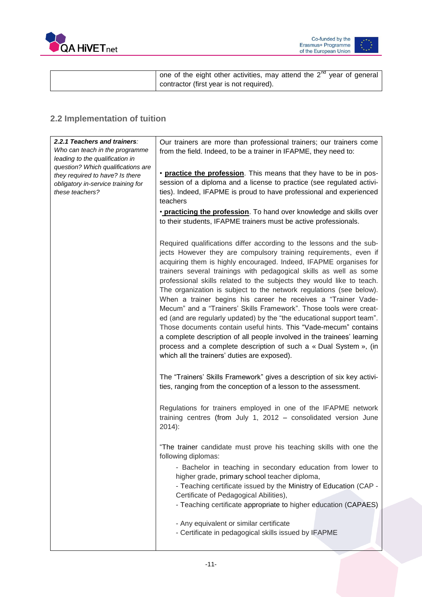



| one of the eight other activities, may attend the $2^{nd}$ year of general |
|----------------------------------------------------------------------------|
| contractor (first year is not required).                                   |

#### <span id="page-11-0"></span>**2.2 Implementation of tuition**

| 2.2.1 Teachers and trainers:                                          | Our trainers are more than professional trainers; our trainers come                                                                                                                                                                                                                                                                                                                                                                                                                                                                                                                                                                                                                                                                                                                                                                                                                                                     |
|-----------------------------------------------------------------------|-------------------------------------------------------------------------------------------------------------------------------------------------------------------------------------------------------------------------------------------------------------------------------------------------------------------------------------------------------------------------------------------------------------------------------------------------------------------------------------------------------------------------------------------------------------------------------------------------------------------------------------------------------------------------------------------------------------------------------------------------------------------------------------------------------------------------------------------------------------------------------------------------------------------------|
| Who can teach in the programme                                        | from the field. Indeed, to be a trainer in IFAPME, they need to:                                                                                                                                                                                                                                                                                                                                                                                                                                                                                                                                                                                                                                                                                                                                                                                                                                                        |
| leading to the qualification in<br>question? Which qualifications are |                                                                                                                                                                                                                                                                                                                                                                                                                                                                                                                                                                                                                                                                                                                                                                                                                                                                                                                         |
| they required to have? Is there                                       | • practice the profession. This means that they have to be in pos-                                                                                                                                                                                                                                                                                                                                                                                                                                                                                                                                                                                                                                                                                                                                                                                                                                                      |
| obligatory in-service training for                                    | session of a diploma and a license to practice (see regulated activi-                                                                                                                                                                                                                                                                                                                                                                                                                                                                                                                                                                                                                                                                                                                                                                                                                                                   |
| these teachers?                                                       | ties). Indeed, IFAPME is proud to have professional and experienced                                                                                                                                                                                                                                                                                                                                                                                                                                                                                                                                                                                                                                                                                                                                                                                                                                                     |
|                                                                       | teachers                                                                                                                                                                                                                                                                                                                                                                                                                                                                                                                                                                                                                                                                                                                                                                                                                                                                                                                |
|                                                                       | • practicing the profession. To hand over knowledge and skills over<br>to their students, IFAPME trainers must be active professionals.                                                                                                                                                                                                                                                                                                                                                                                                                                                                                                                                                                                                                                                                                                                                                                                 |
|                                                                       | Required qualifications differ according to the lessons and the sub-<br>jects However they are compulsory training requirements, even if<br>acquiring them is highly encouraged. Indeed, IFAPME organises for<br>trainers several trainings with pedagogical skills as well as some<br>professional skills related to the subjects they would like to teach.<br>The organization is subject to the network regulations (see below).<br>When a trainer begins his career he receives a "Trainer Vade-<br>Mecum" and a "Trainers' Skills Framework". Those tools were creat-<br>ed (and are regularly updated) by the "the educational support team".<br>Those documents contain useful hints. This "Vade-mecum" contains<br>a complete description of all people involved in the trainees' learning<br>process and a complete description of such a « Dual System », (in<br>which all the trainers' duties are exposed). |
|                                                                       | The "Trainers' Skills Framework" gives a description of six key activi-<br>ties, ranging from the conception of a lesson to the assessment.                                                                                                                                                                                                                                                                                                                                                                                                                                                                                                                                                                                                                                                                                                                                                                             |
|                                                                       | Regulations for trainers employed in one of the IFAPME network<br>training centres (from July 1, 2012 - consolidated version June<br>$2014$ :                                                                                                                                                                                                                                                                                                                                                                                                                                                                                                                                                                                                                                                                                                                                                                           |
|                                                                       | "The trainer candidate must prove his teaching skills with one the<br>following diplomas:<br>- Bachelor in teaching in secondary education from lower to<br>higher grade, primary school teacher diploma,<br>- Teaching certificate issued by the Ministry of Education (CAP -<br>Certificate of Pedagogical Abilities),<br>- Teaching certificate appropriate to higher education (CAPAES)<br>- Any equivalent or similar certificate<br>- Certificate in pedagogical skills issued by IFAPME                                                                                                                                                                                                                                                                                                                                                                                                                          |
|                                                                       |                                                                                                                                                                                                                                                                                                                                                                                                                                                                                                                                                                                                                                                                                                                                                                                                                                                                                                                         |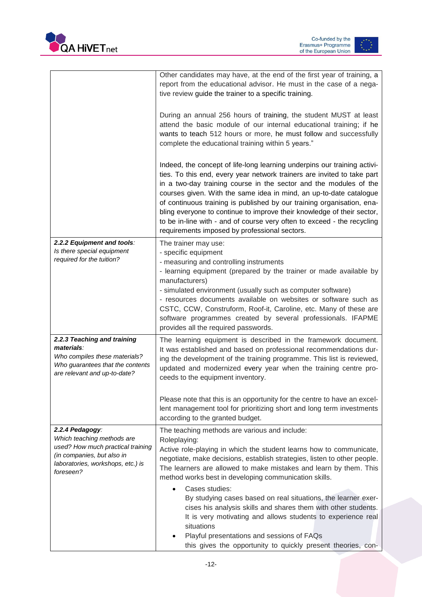



|                                                                                                                                                                    | Other candidates may have, at the end of the first year of training, a<br>report from the educational advisor. He must in the case of a nega-<br>tive review guide the trainer to a specific training.<br>During an annual 256 hours of training, the student MUST at least<br>attend the basic module of our internal educational training; if he<br>wants to teach 512 hours or more, he must follow and successfully                                                                                                                                                                                                                                                                         |
|--------------------------------------------------------------------------------------------------------------------------------------------------------------------|-------------------------------------------------------------------------------------------------------------------------------------------------------------------------------------------------------------------------------------------------------------------------------------------------------------------------------------------------------------------------------------------------------------------------------------------------------------------------------------------------------------------------------------------------------------------------------------------------------------------------------------------------------------------------------------------------|
|                                                                                                                                                                    | complete the educational training within 5 years."<br>Indeed, the concept of life-long learning underpins our training activi-<br>ties. To this end, every year network trainers are invited to take part<br>in a two-day training course in the sector and the modules of the<br>courses given. With the same idea in mind, an up-to-date catalogue<br>of continuous training is published by our training organisation, ena-<br>bling everyone to continue to improve their knowledge of their sector,<br>to be in-line with - and of course very often to exceed - the recycling<br>requirements imposed by professional sectors.                                                            |
| 2.2.2 Equipment and tools:<br>Is there special equipment<br>required for the tuition?                                                                              | The trainer may use:<br>- specific equipment<br>- measuring and controlling instruments<br>- learning equipment (prepared by the trainer or made available by<br>manufacturers)<br>- simulated environment (usually such as computer software)<br>- resources documents available on websites or software such as<br>CSTC, CCW, Construform, Roof-it, Caroline, etc. Many of these are<br>software programmes created by several professionals. IFAPME<br>provides all the required passwords.                                                                                                                                                                                                  |
| 2.2.3 Teaching and training<br>materials:<br>Who compiles these materials?<br>Who guarantees that the contents<br>are relevant and up-to-date?                     | The learning equipment is described in the framework document.<br>It was established and based on professional recommendations dur-<br>ing the development of the training programme. This list is reviewed,<br>updated and modernized every year when the training centre pro-<br>ceeds to the equipment inventory.<br>Please note that this is an opportunity for the centre to have an excel-                                                                                                                                                                                                                                                                                                |
|                                                                                                                                                                    | lent management tool for prioritizing short and long term investments<br>according to the granted budget.                                                                                                                                                                                                                                                                                                                                                                                                                                                                                                                                                                                       |
| 2.2.4 Pedagogy:<br>Which teaching methods are<br>used? How much practical training<br>(in companies, but also in<br>laboratories, workshops, etc.) is<br>foreseen? | The teaching methods are various and include:<br>Roleplaying:<br>Active role-playing in which the student learns how to communicate,<br>negotiate, make decisions, establish strategies, listen to other people.<br>The learners are allowed to make mistakes and learn by them. This<br>method works best in developing communication skills.<br>Cases studies:<br>By studying cases based on real situations, the learner exer-<br>cises his analysis skills and shares them with other students.<br>It is very motivating and allows students to experience real<br>situations<br>Playful presentations and sessions of FAQs<br>this gives the opportunity to quickly present theories, con- |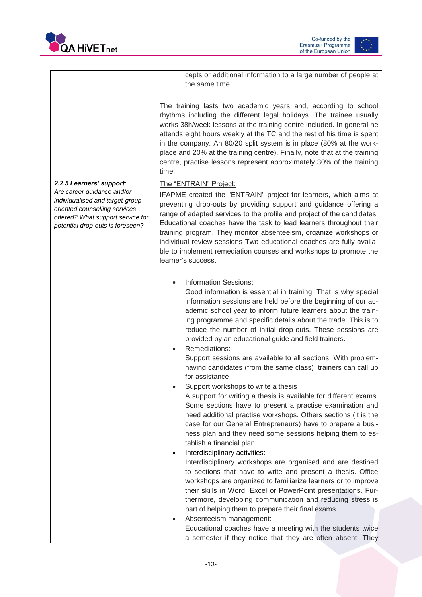





|                                                                                                                                                                                                     | cepts or additional information to a large number of people at<br>the same time.                                                                                                                                                                                                                                                                                                                                                                                                                                                                                                                                                                                                                                                                                                                                                                                                                                                                                                                                                                                                                                                                                                                                                                                                                                                                                                                                                                                                                                                                                                                    |
|-----------------------------------------------------------------------------------------------------------------------------------------------------------------------------------------------------|-----------------------------------------------------------------------------------------------------------------------------------------------------------------------------------------------------------------------------------------------------------------------------------------------------------------------------------------------------------------------------------------------------------------------------------------------------------------------------------------------------------------------------------------------------------------------------------------------------------------------------------------------------------------------------------------------------------------------------------------------------------------------------------------------------------------------------------------------------------------------------------------------------------------------------------------------------------------------------------------------------------------------------------------------------------------------------------------------------------------------------------------------------------------------------------------------------------------------------------------------------------------------------------------------------------------------------------------------------------------------------------------------------------------------------------------------------------------------------------------------------------------------------------------------------------------------------------------------------|
|                                                                                                                                                                                                     | The training lasts two academic years and, according to school<br>rhythms including the different legal holidays. The trainee usually<br>works 38h/week lessons at the training centre included. In general he<br>attends eight hours weekly at the TC and the rest of his time is spent<br>in the company. An 80/20 split system is in place (80% at the work-<br>place and 20% at the training centre). Finally, note that at the training<br>centre, practise lessons represent approximately 30% of the training<br>time.                                                                                                                                                                                                                                                                                                                                                                                                                                                                                                                                                                                                                                                                                                                                                                                                                                                                                                                                                                                                                                                                       |
| 2.2.5 Learners' support:<br>Are career guidance and/or<br>individualised and target-group<br>oriented counselling services<br>offered? What support service for<br>potential drop-outs is foreseen? | The "ENTRAIN" Project:<br>IFAPME created the "ENTRAIN" project for learners, which aims at<br>preventing drop-outs by providing support and guidance offering a<br>range of adapted services to the profile and project of the candidates.<br>Educational coaches have the task to lead learners throughout their<br>training program. They monitor absenteeism, organize workshops or<br>individual review sessions Two educational coaches are fully availa-<br>ble to implement remediation courses and workshops to promote the<br>learner's success.                                                                                                                                                                                                                                                                                                                                                                                                                                                                                                                                                                                                                                                                                                                                                                                                                                                                                                                                                                                                                                           |
|                                                                                                                                                                                                     | <b>Information Sessions:</b><br>$\bullet$<br>Good information is essential in training. That is why special<br>information sessions are held before the beginning of our ac-<br>ademic school year to inform future learners about the train-<br>ing programme and specific details about the trade. This is to<br>reduce the number of initial drop-outs. These sessions are<br>provided by an educational guide and field trainers.<br>Remediations:<br>Support sessions are available to all sections. With problem-<br>having candidates (from the same class), trainers can call up<br>for assistance<br>Support workshops to write a thesis<br>A support for writing a thesis is available for different exams.<br>Some sections have to present a practise examination and<br>need additional practise workshops. Others sections (it is the<br>case for our General Entrepreneurs) have to prepare a busi-<br>ness plan and they need some sessions helping them to es-<br>tablish a financial plan.<br>Interdisciplinary activities:<br>$\bullet$<br>Interdisciplinary workshops are organised and are destined<br>to sections that have to write and present a thesis. Office<br>workshops are organized to familiarize learners or to improve<br>their skills in Word, Excel or PowerPoint presentations. Fur-<br>thermore, developing communication and reducing stress is<br>part of helping them to prepare their final exams.<br>Absenteeism management:<br>Educational coaches have a meeting with the students twice<br>a semester if they notice that they are often absent. They |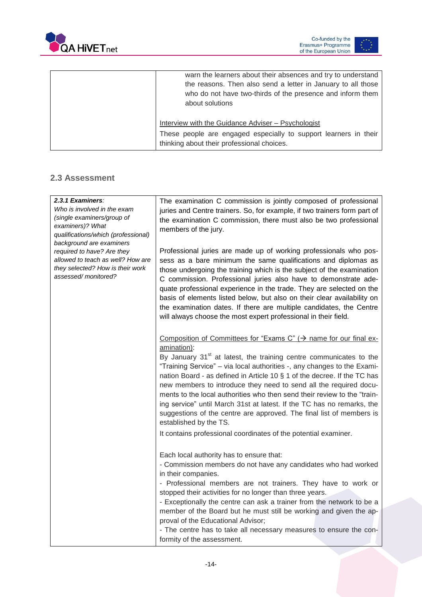



| warn the learners about their absences and try to understand<br>the reasons. Then also send a letter in January to all those<br>who do not have two-thirds of the presence and inform them<br>about solutions |
|---------------------------------------------------------------------------------------------------------------------------------------------------------------------------------------------------------------|
| Interview with the Guidance Adviser - Psychologist                                                                                                                                                            |
| These people are engaged especially to support learners in their<br>thinking about their professional choices.                                                                                                |

#### <span id="page-14-0"></span>**2.3 Assessment**

| 2.3.1 Examiners:<br>Who is involved in the exam<br>(single examiners/group of<br>examiners)? What<br>qualifications/which (professional)<br>background are examiners | The examination C commission is jointly composed of professional<br>juries and Centre trainers. So, for example, if two trainers form part of<br>the examination C commission, there must also be two professional<br>members of the jury.                                                                                                                                                                                                                                                                                                                                   |
|----------------------------------------------------------------------------------------------------------------------------------------------------------------------|------------------------------------------------------------------------------------------------------------------------------------------------------------------------------------------------------------------------------------------------------------------------------------------------------------------------------------------------------------------------------------------------------------------------------------------------------------------------------------------------------------------------------------------------------------------------------|
| required to have? Are they<br>allowed to teach as well? How are<br>they selected? How is their work<br>assessed/monitored?                                           | Professional juries are made up of working professionals who pos-<br>sess as a bare minimum the same qualifications and diplomas as<br>those undergoing the training which is the subject of the examination<br>C commission. Professional juries also have to demonstrate ade-<br>quate professional experience in the trade. They are selected on the<br>basis of elements listed below, but also on their clear availability on<br>the examination dates. If there are multiple candidates, the Centre<br>will always choose the most expert professional in their field. |
|                                                                                                                                                                      | Composition of Committees for "Exams C" ( $\rightarrow$ name for our final ex-<br>amination):                                                                                                                                                                                                                                                                                                                                                                                                                                                                                |
|                                                                                                                                                                      | By January 31 <sup>st</sup> at latest, the training centre communicates to the<br>"Training Service" - via local authorities -, any changes to the Exami-<br>nation Board - as defined in Article 10 § 1 of the decree. If the TC has<br>new members to introduce they need to send all the required docu-<br>ments to the local authorities who then send their review to the "train-<br>ing service" until March 31st at latest. If the TC has no remarks, the<br>suggestions of the centre are approved. The final list of members is<br>established by the TS.           |
|                                                                                                                                                                      | It contains professional coordinates of the potential examiner.                                                                                                                                                                                                                                                                                                                                                                                                                                                                                                              |
|                                                                                                                                                                      | Each local authority has to ensure that:<br>- Commission members do not have any candidates who had worked<br>in their companies.<br>- Professional members are not trainers. They have to work or                                                                                                                                                                                                                                                                                                                                                                           |
|                                                                                                                                                                      | stopped their activities for no longer than three years.<br>- Exceptionally the centre can ask a trainer from the network to be a<br>member of the Board but he must still be working and given the ap-<br>proval of the Educational Advisor;                                                                                                                                                                                                                                                                                                                                |
|                                                                                                                                                                      | - The centre has to take all necessary measures to ensure the con-<br>formity of the assessment.                                                                                                                                                                                                                                                                                                                                                                                                                                                                             |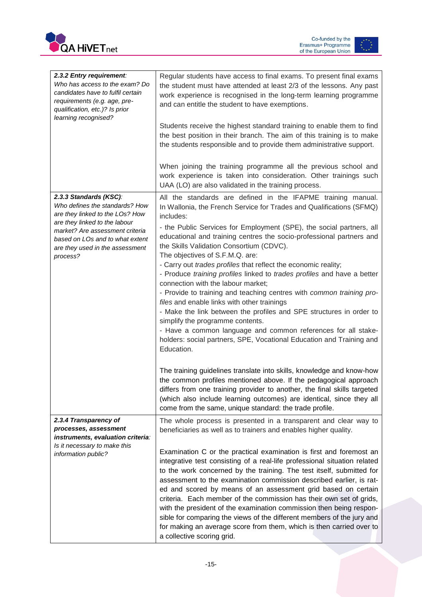



| 2.3.2 Entry requirement:<br>Who has access to the exam? Do<br>candidates have to fulfil certain<br>requirements (e.g. age, pre-<br>qualification, etc.)? Is prior<br>learning recognised?                                                         | Regular students have access to final exams. To present final exams<br>the student must have attended at least 2/3 of the lessons. Any past<br>work experience is recognised in the long-term learning programme<br>and can entitle the student to have exemptions.<br>Students receive the highest standard training to enable them to find<br>the best position in their branch. The aim of this training is to make<br>the students responsible and to provide them administrative support.<br>When joining the training programme all the previous school and<br>work experience is taken into consideration. Other trainings such<br>UAA (LO) are also validated in the training process.                                                                                                                                                                                                                                                               |
|---------------------------------------------------------------------------------------------------------------------------------------------------------------------------------------------------------------------------------------------------|--------------------------------------------------------------------------------------------------------------------------------------------------------------------------------------------------------------------------------------------------------------------------------------------------------------------------------------------------------------------------------------------------------------------------------------------------------------------------------------------------------------------------------------------------------------------------------------------------------------------------------------------------------------------------------------------------------------------------------------------------------------------------------------------------------------------------------------------------------------------------------------------------------------------------------------------------------------|
| 2.3.3 Standards (KSC):<br>Who defines the standards? How<br>are they linked to the LOs? How<br>are they linked to the labour<br>market? Are assessment criteria<br>based on LOs and to what extent<br>are they used in the assessment<br>process? | All the standards are defined in the IFAPME training manual.<br>In Wallonia, the French Service for Trades and Qualifications (SFMQ)<br>includes:<br>- the Public Services for Employment (SPE), the social partners, all<br>educational and training centres the socio-professional partners and<br>the Skills Validation Consortium (CDVC).<br>The objectives of S.F.M.Q. are:<br>- Carry out trades profiles that reflect the economic reality;<br>- Produce training profiles linked to trades profiles and have a better<br>connection with the labour market;<br>- Provide to training and teaching centres with common training pro-<br>files and enable links with other trainings<br>- Make the link between the profiles and SPE structures in order to<br>simplify the programme contents.<br>- Have a common language and common references for all stake-<br>holders: social partners, SPE, Vocational Education and Training and<br>Education. |
|                                                                                                                                                                                                                                                   | The training guidelines translate into skills, knowledge and know-how<br>the common profiles mentioned above. If the pedagogical approach<br>differs from one training provider to another, the final skills targeted<br>(which also include learning outcomes) are identical, since they all<br>come from the same, unique standard: the trade profile.                                                                                                                                                                                                                                                                                                                                                                                                                                                                                                                                                                                                     |
| 2.3.4 Transparency of<br>processes, assessment                                                                                                                                                                                                    | The whole process is presented in a transparent and clear way to<br>beneficiaries as well as to trainers and enables higher quality.                                                                                                                                                                                                                                                                                                                                                                                                                                                                                                                                                                                                                                                                                                                                                                                                                         |
| instruments, evaluation criteria:<br>Is it necessary to make this<br>information public?                                                                                                                                                          | Examination C or the practical examination is first and foremost an<br>integrative test consisting of a real-life professional situation related<br>to the work concerned by the training. The test itself, submitted for<br>assessment to the examination commission described earlier, is rat-<br>ed and scored by means of an assessment grid based on certain<br>criteria. Each member of the commission has their own set of grids,<br>with the president of the examination commission then being respon-<br>sible for comparing the views of the different members of the jury and<br>for making an average score from them, which is then carried over to<br>a collective scoring grid.                                                                                                                                                                                                                                                              |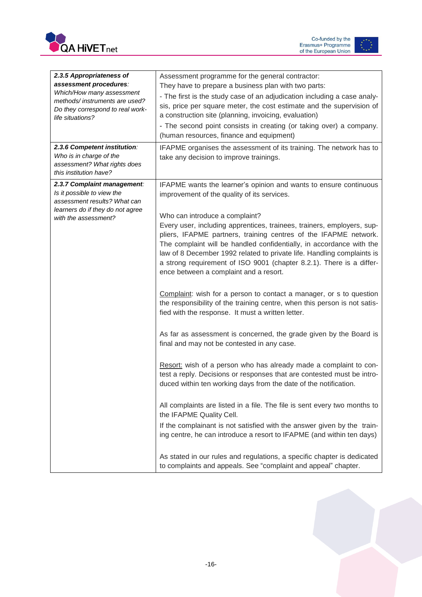



<span id="page-16-0"></span>

| 2.3.5 Appropriateness of<br>assessment procedures:<br>Which/How many assessment<br>methods/instruments are used?<br>Do they correspond to real work-<br>life situations?<br>2.3.6 Competent institution:<br>Who is in charge of the<br>assessment? What rights does<br>this institution have? | Assessment programme for the general contractor:<br>They have to prepare a business plan with two parts:<br>- The first is the study case of an adjudication including a case analy-<br>sis, price per square meter, the cost estimate and the supervision of<br>a construction site (planning, invoicing, evaluation)<br>- The second point consists in creating (or taking over) a company.<br>(human resources, finance and equipment)<br>IFAPME organises the assessment of its training. The network has to<br>take any decision to improve trainings.                                                                                                                                                                                                                                                                                                                                                                                                                                                                                                                                                                                                                                                                                                                                                                                                                                                                                                                                                                     |
|-----------------------------------------------------------------------------------------------------------------------------------------------------------------------------------------------------------------------------------------------------------------------------------------------|---------------------------------------------------------------------------------------------------------------------------------------------------------------------------------------------------------------------------------------------------------------------------------------------------------------------------------------------------------------------------------------------------------------------------------------------------------------------------------------------------------------------------------------------------------------------------------------------------------------------------------------------------------------------------------------------------------------------------------------------------------------------------------------------------------------------------------------------------------------------------------------------------------------------------------------------------------------------------------------------------------------------------------------------------------------------------------------------------------------------------------------------------------------------------------------------------------------------------------------------------------------------------------------------------------------------------------------------------------------------------------------------------------------------------------------------------------------------------------------------------------------------------------|
| 2.3.7 Complaint management:<br>Is it possible to view the<br>assessment results? What can<br>learners do if they do not agree<br>with the assessment?                                                                                                                                         | IFAPME wants the learner's opinion and wants to ensure continuous<br>improvement of the quality of its services.<br>Who can introduce a complaint?<br>Every user, including apprentices, trainees, trainers, employers, sup-<br>pliers, IFAPME partners, training centres of the IFAPME network.<br>The complaint will be handled confidentially, in accordance with the<br>law of 8 December 1992 related to private life. Handling complaints is<br>a strong requirement of ISO 9001 (chapter 8.2.1). There is a differ-<br>ence between a complaint and a resort.<br>Complaint: wish for a person to contact a manager, or s to question<br>the responsibility of the training centre, when this person is not satis-<br>fied with the response. It must a written letter.<br>As far as assessment is concerned, the grade given by the Board is<br>final and may not be contested in any case.<br>Resort: wish of a person who has already made a complaint to con-<br>test a reply. Decisions or responses that are contested must be intro-<br>duced within ten working days from the date of the notification.<br>All complaints are listed in a file. The file is sent every two months to<br>the IFAPME Quality Cell.<br>If the complainant is not satisfied with the answer given by the train-<br>ing centre, he can introduce a resort to IFAPME (and within ten days)<br>As stated in our rules and regulations, a specific chapter is dedicated<br>to complaints and appeals. See "complaint and appeal" chapter. |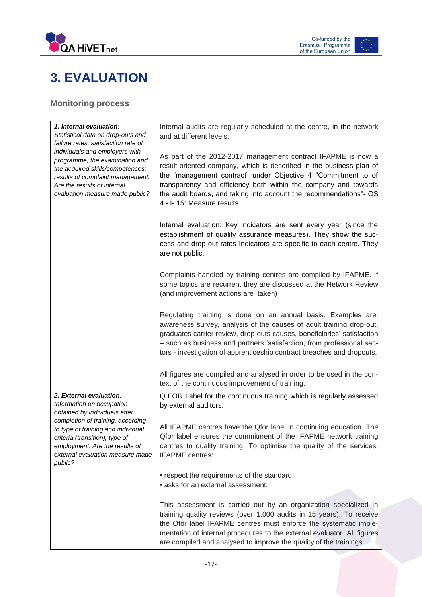

### **3. EVALUATION**

<span id="page-17-0"></span>**Monitoring process**

| 1. Internal evaluation:<br>Statistical data on drop-outs and<br>failure rates, satisfaction rate of                                                                                                        | Internal audits are regularly scheduled at the centre, in the network<br>and at different levels.                                                                                                                                                                                                                                                                            |
|------------------------------------------------------------------------------------------------------------------------------------------------------------------------------------------------------------|------------------------------------------------------------------------------------------------------------------------------------------------------------------------------------------------------------------------------------------------------------------------------------------------------------------------------------------------------------------------------|
| individuals and employers with<br>programme, the examination and<br>the acquired skills/competences;<br>results of complaint management.<br>Are the results of internal<br>evaluation measure made public? | As part of the 2012-2017 management contract IFAPME is now a<br>result-oriented company, which is described in the business plan of<br>the "management contract" under Objective 4 "Commitment to of<br>transparency and efficiency both within the company and towards<br>the audit boards, and taking into account the recommendations"- OS<br>4 - I- 15: Measure results. |
|                                                                                                                                                                                                            | Internal evaluation: Key indicators are sent every year (since the<br>establishment of quality assurance measures). They show the suc-<br>cess and drop-out rates Indicators are specific to each centre. They<br>are not public.                                                                                                                                            |
|                                                                                                                                                                                                            | Complaints handled by training centres are compiled by IFAPME. If<br>some topics are recurrent they are discussed at the Network Review<br>(and improvement actions are taken)                                                                                                                                                                                               |
|                                                                                                                                                                                                            | Regulating training is done on an annual basis. Examples are:<br>awareness survey, analysis of the causes of adult training drop-out,<br>graduates carrier review, drop-outs causes, beneficiaries' satisfaction<br>- such as business and partners 'satisfaction, from professional sec-<br>tors - investigation of apprenticeship contract breaches and dropouts.          |
|                                                                                                                                                                                                            | All figures are compiled and analysed in order to be used in the con-<br>text of the continuous improvement of training.                                                                                                                                                                                                                                                     |
| 2. External evaluation:<br>Information on occupation<br>obtained by individuals after                                                                                                                      | Q FOR Label for the continuous training which is regularly assessed<br>by external auditors.                                                                                                                                                                                                                                                                                 |
| completion of training, according<br>to type of training and individual<br>criteria (transition), type of<br>employment. Are the results of<br>external evaluation measure made<br>public?                 | All IFAPME centres have the Qfor label in continuing education. The<br>Qfor label ensures the commitment of the IFAPME network training<br>centres to quality training. To optimise the quality of the services,<br><b>IFAPME</b> centres:                                                                                                                                   |
|                                                                                                                                                                                                            | • respect the requirements of the standard,<br>• asks for an external assessment.                                                                                                                                                                                                                                                                                            |
|                                                                                                                                                                                                            | This assessment is carried out by an organization specialized in<br>training quality reviews (over 1,000 audits in 15 years). To receive<br>the Qfor label IFAPME centres must enforce the systematic imple-<br>mentation of internal procedures to the external evaluator. All figures<br>are compiled and analysed to improve the quality of the trainings.                |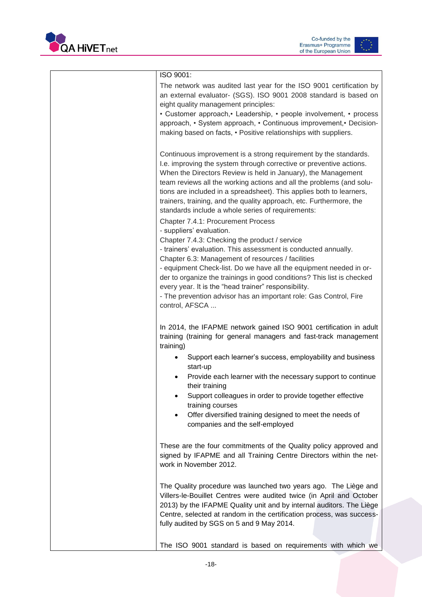



| ISO 9001:<br>The network was audited last year for the ISO 9001 certification by<br>an external evaluator- (SGS). ISO 9001 2008 standard is based on<br>eight quality management principles:<br>• Customer approach, • Leadership, • people involvement, • process<br>approach, • System approach, • Continuous improvement, • Decision-<br>making based on facts, • Positive relationships with suppliers.                                                                                                                                                                                                                                                                                                                                                                                                                                                                                                                                                                                                                   |
|-------------------------------------------------------------------------------------------------------------------------------------------------------------------------------------------------------------------------------------------------------------------------------------------------------------------------------------------------------------------------------------------------------------------------------------------------------------------------------------------------------------------------------------------------------------------------------------------------------------------------------------------------------------------------------------------------------------------------------------------------------------------------------------------------------------------------------------------------------------------------------------------------------------------------------------------------------------------------------------------------------------------------------|
| Continuous improvement is a strong requirement by the standards.<br>I.e. improving the system through corrective or preventive actions.<br>When the Directors Review is held in January), the Management<br>team reviews all the working actions and all the problems (and solu-<br>tions are included in a spreadsheet). This applies both to learners,<br>trainers, training, and the quality approach, etc. Furthermore, the<br>standards include a whole series of requirements:<br>Chapter 7.4.1: Procurement Process<br>- suppliers' evaluation.<br>Chapter 7.4.3: Checking the product / service<br>- trainers' evaluation. This assessment is conducted annually.<br>Chapter 6.3: Management of resources / facilities<br>- equipment Check-list. Do we have all the equipment needed in or-<br>der to organize the trainings in good conditions? This list is checked<br>every year. It is the "head trainer" responsibility.<br>- The prevention advisor has an important role: Gas Control, Fire<br>control, AFSCA |
| In 2014, the IFAPME network gained ISO 9001 certification in adult<br>training (training for general managers and fast-track management                                                                                                                                                                                                                                                                                                                                                                                                                                                                                                                                                                                                                                                                                                                                                                                                                                                                                       |
| training)<br>Support each learner's success, employability and business<br>start-up<br>Provide each learner with the necessary support to continue<br>their training<br>Support colleagues in order to provide together effective<br>training courses<br>Offer diversified training designed to meet the needs of<br>companies and the self-employed                                                                                                                                                                                                                                                                                                                                                                                                                                                                                                                                                                                                                                                                          |
| These are the four commitments of the Quality policy approved and<br>signed by IFAPME and all Training Centre Directors within the net-<br>work in November 2012.                                                                                                                                                                                                                                                                                                                                                                                                                                                                                                                                                                                                                                                                                                                                                                                                                                                             |
| The Quality procedure was launched two years ago. The Liège and<br>Villers-le-Bouillet Centres were audited twice (in April and October<br>2013) by the IFAPME Quality unit and by internal auditors. The Liège<br>Centre, selected at random in the certification process, was success-<br>fully audited by SGS on 5 and 9 May 2014.                                                                                                                                                                                                                                                                                                                                                                                                                                                                                                                                                                                                                                                                                         |
| The ISO 9001 standard is based on requirements with which we                                                                                                                                                                                                                                                                                                                                                                                                                                                                                                                                                                                                                                                                                                                                                                                                                                                                                                                                                                  |